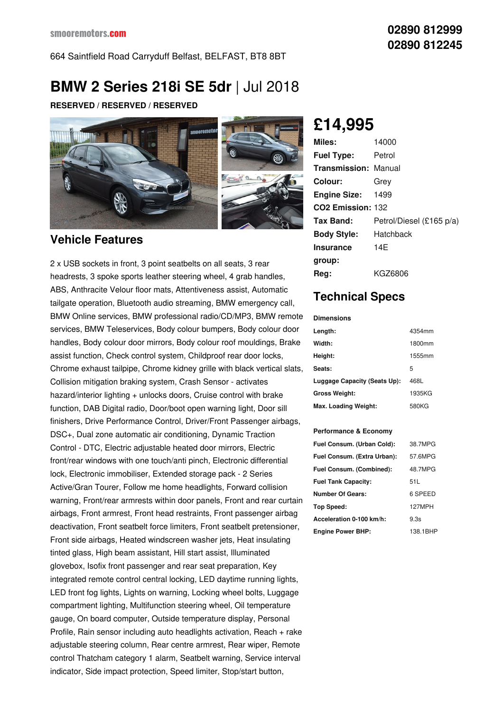# **BMW 2 Series 218i SE 5dr** |Jul 2018

**RESERVED / RESERVED / RESERVED**



### **Vehicle Features**

2 x USB sockets in front, 3 point seatbelts on all seats, 3 rear headrests, 3 spoke sports leather steering wheel, 4 grab handles, ABS, Anthracite Velour floor mats, Attentiveness assist, Automatic tailgate operation, Bluetooth audio streaming, BMW emergency call, BMW Online services, BMW professional radio/CD/MP3, BMW remote services, BMW Teleservices, Body colour bumpers, Body colour door handles, Body colour door mirrors, Body colour roof mouldings, Brake assist function, Check control system, Childproof rear door locks, Chrome exhaust tailpipe, Chrome kidney grille with black vertical slats, Collision mitigation braking system, Crash Sensor - activates hazard/interior lighting + unlocks doors, Cruise control with brake function, DAB Digital radio, Door/boot open warning light, Door sill finishers, Drive Performance Control, Driver/Front Passenger airbags, DSC+, Dual zone automatic air conditioning, Dynamic Traction Control - DTC, Electric adjustable heated door mirrors, Electric front/rear windows with one touch/anti pinch, Electronic differential lock, Electronic immobiliser, Extended storage pack - 2 Series Active/Gran Tourer, Follow me home headlights, Forward collision warning, Front/rear armrests within door panels, Front and rear curtain airbags, Front armrest, Front head restraints, Front passenger airbag deactivation, Front seatbelt force limiters, Front seatbelt pretensioner, Front side airbags, Heated windscreen washer jets, Heat insulating tinted glass, High beam assistant, Hill start assist, Illuminated glovebox, Isofix front passenger and rear seat preparation, Key integrated remote control central locking, LED daytime running lights, LED front fog lights, Lights on warning, Locking wheel bolts, Luggage compartment lighting, Multifunction steering wheel, Oil temperature gauge, On board computer, Outside temperature display, Personal Profile, Rain sensor including auto headlights activation, Reach + rake adjustable steering column, Rear centre armrest, Rear wiper, Remote control Thatcham category 1 alarm, Seatbelt warning, Service interval indicator, Side impact protection, Speed limiter, Stop/start button,

## **£14,995**

| Miles:                        | 14000                    |
|-------------------------------|--------------------------|
| <b>Fuel Type:</b>             | Petrol                   |
| <b>Transmission: Manual</b>   |                          |
| Colour:                       | Grev                     |
| <b>Engine Size:</b>           | 1499                     |
| CO <sub>2</sub> Emission: 132 |                          |
| Tax Band:                     | Petrol/Diesel (£165 p/a) |
| <b>Body Style:</b>            | Hatchback                |
| Insurance                     | 14F                      |
| group:                        |                          |
| Reg:                          | KGZ6806                  |

### **Technical Specs**

#### **Dimensions**

| Length:                      | 4354mm |
|------------------------------|--------|
| Width:                       | 1800mm |
| Height:                      | 1555mm |
| Seats:                       | 5      |
| Luggage Capacity (Seats Up): | 468L   |
| <b>Gross Weight:</b>         | 1935KG |
| Max. Loading Weight:         | 580KG  |

#### **Performance & Economy**

| Fuel Consum. (Urban Cold):  | 38.7MPG  |
|-----------------------------|----------|
| Fuel Consum. (Extra Urban): | 57.6MPG  |
| Fuel Consum. (Combined):    | 48.7MPG  |
| <b>Fuel Tank Capacity:</b>  | 51 L     |
| <b>Number Of Gears:</b>     | 6 SPEED  |
| Top Speed:                  | 127MPH   |
| Acceleration 0-100 km/h:    | 9.3s     |
| <b>Engine Power BHP:</b>    | 138.1BHP |